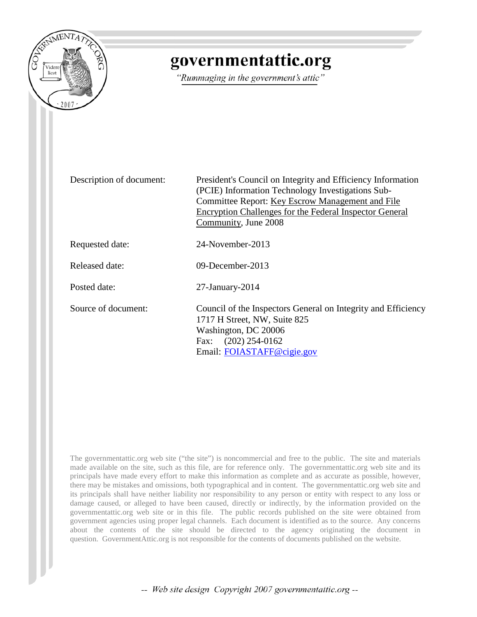

# governmentattic.org

"Rummaging in the government's attic"

Description of document: President's Council on Integrity and Efficiency Information (PCIE) Information Technology Investigations Sub-Committee Report: Key Escrow Management and File Encryption Challenges for the Federal Inspector General Community, June 2008 Requested date: 24-November-2013 Released date: 09-December-2013 Posted date: 27-January-2014 Source of document: Council of the Inspectors General on Integrity and Efficiency 1717 H Street, NW, Suite 825 Washington, DC 20006 Fax: (202) 254-0162 Email: [FOIASTAFF@cigie.gov](mailto:FOIASTAFF@cigie.gov)

The governmentattic.org web site ("the site") is noncommercial and free to the public. The site and materials made available on the site, such as this file, are for reference only. The governmentattic.org web site and its principals have made every effort to make this information as complete and as accurate as possible, however, there may be mistakes and omissions, both typographical and in content. The governmentattic.org web site and its principals shall have neither liability nor responsibility to any person or entity with respect to any loss or damage caused, or alleged to have been caused, directly or indirectly, by the information provided on the governmentattic.org web site or in this file. The public records published on the site were obtained from government agencies using proper legal channels. Each document is identified as to the source. Any concerns about the contents of the site should be directed to the agency originating the document in question. GovernmentAttic.org is not responsible for the contents of documents published on the website.

-- Web site design Copyright 2007 governmentattic.org --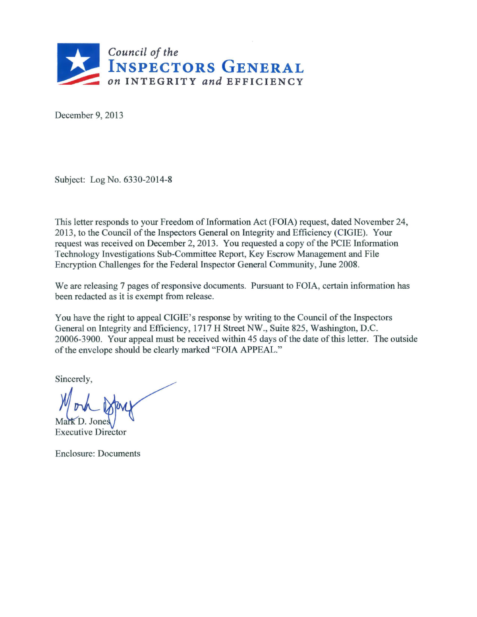

December 9, 2013

Subject: Log No. 6330-2014-8

This letter responds to your Freedom of Information Act (FOIA) request, dated November 24, 2013, to the Council of the Inspectors General on Integrity and Efficiency (CIGIE). Your request was received on December 2, 2013. You requested a copy of the PCIE Information Technology Investigations Sub-Committee Report, Key Escrow Management and File Encryption Challenges for the Federal Inspector General Community, June 2008.

We are releasing 7 pages of responsive documents. Pursuant to FOIA, certain information has been redacted as it is exempt from release.

You have the right to appeal CIGIE's response by writing to the Council of the Inspectors General on Integrity and Efficiency, 1717 H Street NW., Suite 825, Washington, D.C. 20006-3900. Your appeal must be received within 45 days of the date of this letter. The outside of the envelope should be clearly marked "FOIA APPEAL."

Sincerely,

Mark D. Jones

Executive Director

Enclosure: Documents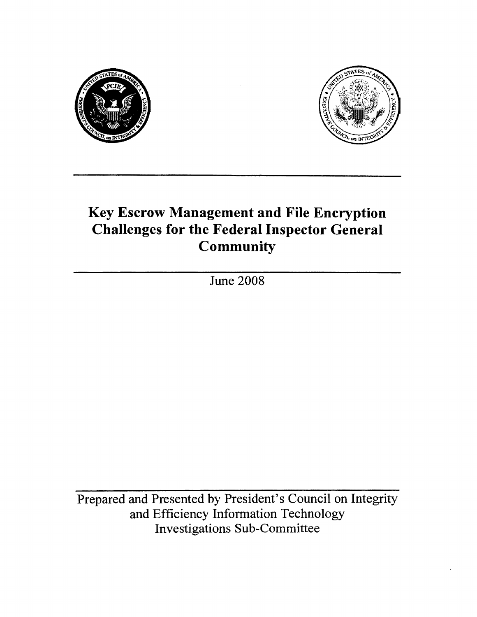



## Key Escrow Management and File Encryption Challenges for the Federal Inspector General **Community**

June 2008

Prepared and Presented by President's Council on Integrity and Efficiency Information Technology Investigations Sub-Committee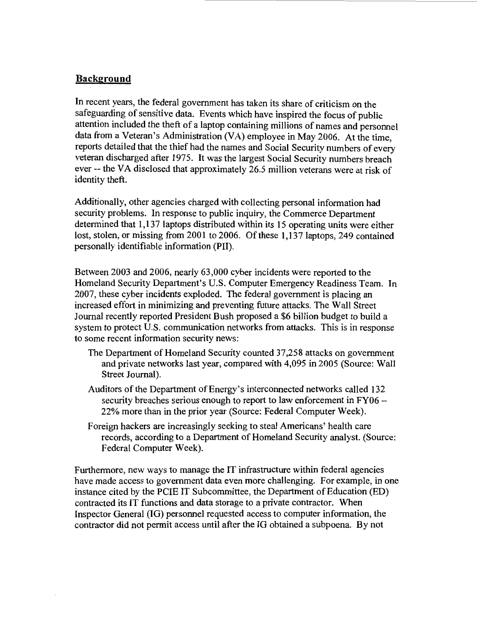#### **Background**

In recent years, the federal government has taken its share of criticism on the safeguarding of sensitive data. Events which have inspired the focus of public attention included the theft of a laptop containing millions of names and personnel data from a Veteran's Administration (VA) employee in May 2006. At the time, reports detailed that the thief had the names and Social Security numbers of every veteran discharged after 1975. It was the largest Social Security numbers breach ever -- the VA disclosed that approximately 26.5 million veterans were at risk of identity theft.

Additionally, other agencies charged with collecting personal information had security problems. In response to public inquiry, the Commerce Department determined that 1,137 laptops distributed within its 15 operating units were either lost, stolen, or missing from 2001 to 2006. Of these 1,137 laptops, 249 contained personally identifiable information (PII).

Between 2003 and 2006, nearly 63,000 cyber incidents were reported to the Homeland Security Department's U.S. Computer Emergency Readiness Team. In 2007, these cyber incidents exploded. The federal government is placing an increased effort in minimizing and preventing future attacks. The Wall Street Journal recently reported President Bush proposed a \$6 billion budget to build a system to protect U.S. communication networks from attacks. This is in response to some recent information security news:

- The Department of Homeland Security counted 37,258 attacks on government and private networks last year, compared with 4,095 in 2005 (Source: Wall Street Journal).
- Auditors of the Department of Energy's interconnected networks called 132 security breaches serious enough to report to law enforcement in  $FY06 -$ 22% more than in the prior year (Source: Federal Computer Week).
- Foreign hackers are increasingly seeking to steal Americans' health care records, according to a Department of Homeland Security analyst. (Source: Federal Computer Week).

Furthermore, new ways to manage the IT infrastructure within federal agencies have made access to government data even more challenging. For example, in one instance cited by the PCIE IT Subcommittee, the Department of Education (ED) contracted its IT functions and data storage to a private contractor. When Inspector General (IO) personnel requested access to computer information, the contractor did not permit access until after the IO obtained a subpoena. By not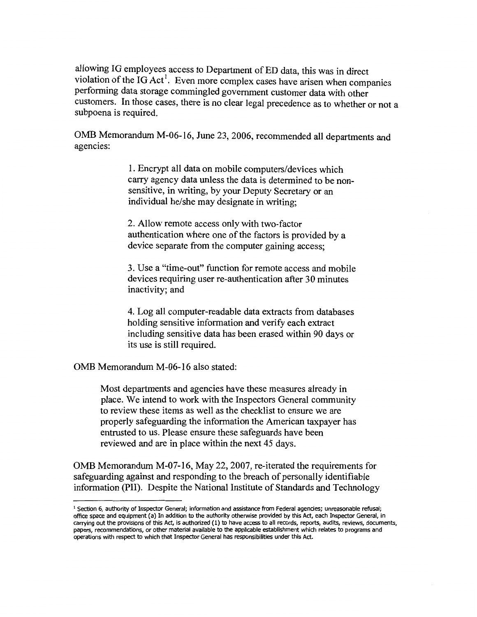allowing IG employees access to Department of ED data, this was in direct violation of the IG Act<sup>1</sup>. Even more complex cases have arisen when companies performing data storage commingled government customer data with other customers. In those cases, there is no clear legal precedence as to whether or not a subpoena is required.

OMB Memorandum M-06-16, June 23, 2006, recommended all departments and agencies:

> 1. Encrypt all data on mobile computers/devices which carry agency data unless the data is determined to be nonsensitive, in writing, by your Deputy Secretary or an individual he/she may designate in writing;

2. Allow remote access only with two-factor authentication where one of the factors is provided by a device separate from the computer gaining access;

3. Use a "time-out" function for remote access and mobile devices requiring user re-authentication after 30 minutes inactivity; and

4. Log all computer-readable data extracts from databases holding sensitive information and verify each extract including sensitive data has been erased within 90 days or its use is still required.

OMB Memorandum M-06-16 also stated:

Most departments and agencies have these measures already in place. \Ve intend to work with the Inspectors General community to review these items as well as the checklist to ensure we are properly safeguarding the information the American taxpayer has entrusted to us. Please ensure these safeguards have been reviewed and are in place within the next 45 days.

OMB Memorandum M-07-16, May 22, 2007, re-iterated the requirements for safeguarding against and responding to the breach of personally identifiable information (PII). Despite the National Institute of Standards and Technology

<sup>&</sup>lt;sup>1</sup> Section 6, authority of Inspector General; information and assistance from Federal agencies; unreasonable refusal; office space and equipment (a) In addition to the authority otherwise provided by this Act, each Inspector General, in carrying out the provisions of this Act, is authorized (1) to have access to all records, reports, audits, reviews, documents, papers, recommendations, or other material available to the applicable establishment which relates to programs and operations with respect to which that Inspector General has responsibilities under this Act.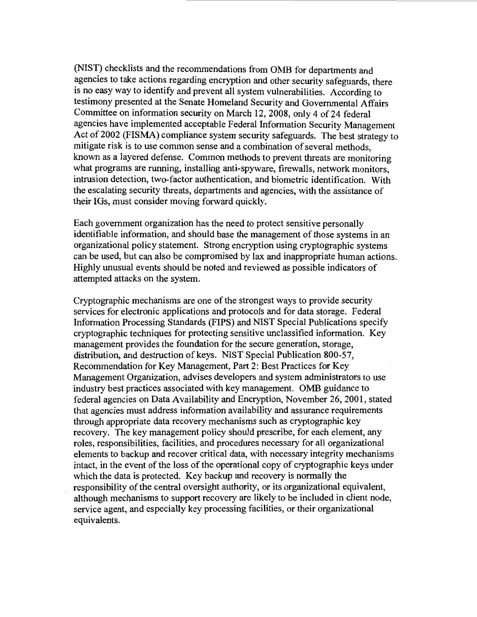(NIST) checklists and the recommendations from OMB for departments and agencies to take actions regarding encryption and other security safeguards, there is no easy way to identify and prevent all system vulnerabilities. According to testimony presented at the Senate Homeland Security and Governmental Affairs Committee on information security on March 12, 2008, only 4 of 24 federal agencies have implemented acceptable Federal Information Security Management Act of 2002 (FISMA) compliance system security safeguards. The best strategy to mitigate risk is to use common sense and a combination of several methods, known as a layered defense. Common methods to prevent threats are monitoring what programs are running, installing anti-spyware, firewalls, network monitors, intrusion detection, two-factor authentication, and biometric identification. With the escalating security threats, departments and agencies, with the assistance of their IGs, must consider moving forward quickly.

Each government organization has the need to protect sensitive personally identifiable information, and should base the management of those systems in an organizational policy statement. Strong encryption using cryptographic systems can be used, but can also be compromised by lax and inappropriate human actions. Highly unusual events should be noted and reviewed as possible indicators of attempted attacks on the system.

Cryptographic mechanisms are one of the strongest ways to provide security services for electronic applications and protocols and for data storage. Federal Information Processing Standards (PIPS) and NIST Special Publications specify cryptographic techniques for protecting sensitive unclassified information. Key management provides the foundation for the secure generation, storage, distribution, and destruction of keys. NIST Special Publication 800-57, Recommendation for Key Management, Part 2: Best Practices for Key Management Organization, advises developers and system administrators to use industry best practices associated with key management. OMB guidance to federal agencies on Data Availability and Encryption, November 26, 2001, stated that agencies must address information availability and assurance requirements through appropriate data recovery mechanisms such as cryptographic key recovery. The key management policy should prescribe, for each element, any roles, responsibilities, facilities, and procedures necessary for all organizational elements to backup and recover critical data, with necessary integrity mechanisms intact, in the event of the loss of the operational copy of cryptographic keys under which the data is protected. Key backup and recovery is normally the responsibility of the central oversight authority, or its organizational equivalent, although mechanisms to support recovery are likely to be included in client node, service agent, and especially key processing facilities, or their organizational equivalents.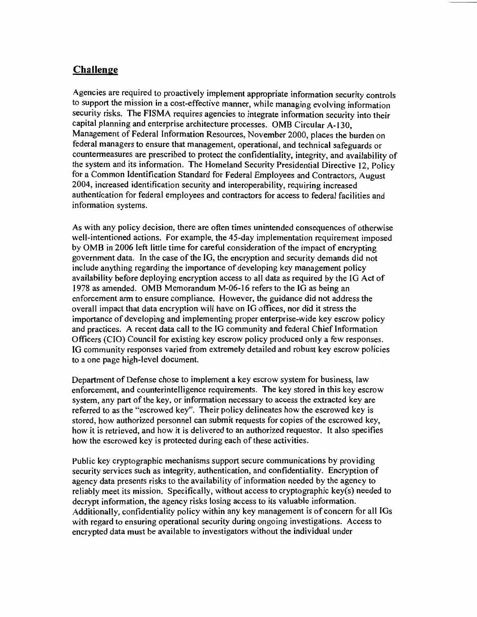### **Challenge**

Agencies are required to proactively implement appropriate information security controls to support the mission in a cost-effective manner, while managing evolving information security risks. The FISMA requires agencies to integrate information security into their capital planning and enterprise architecture processes. OMB Circular A-130, Management of Federal Information Resources, November 2000, places the burden on federal managers to ensure that management, operational, and technical safeguards or countermeasures are prescribed to protect the confidentiality, integrity, and availability of the system and its information. The Homeland Security Presidential Directive 12, Policy for a Common Identification Standard for Federal Employees and Contractors, August 2004, increased identification security and interoperability, requiring increased authentication for federal employees and contractors for access to federal facilities and information systems.

As with any policy decision, there are often times unintended consequences of otherwise well-intentioned actions. For example, the 45-day implementation requirement imposed by OMB in 2006 left little time for careful consideration of the impact of encrypting government data. In the case of the JG, the encryption and security demands did not include anything regarding the importance of developing key management policy availability before deploying encryption access to all data as required by the JG Act of 1978 as amended. OMB Memorandum M-06-16 refers to the IG as being an enforcement arm to ensure compliance. However, the guidance did not address the overall impact that data encryption will have on IG offices, nor did it stress the importance of developing and implementing proper enterprise-wide key escrow policy and practices. A recent data call to the IG community and federal Chief Information Officers (CIO) Council for existing key escrow policy produced only a few responses. JG community responses varied from extremely detailed and robust key escrow policies to a one page high-level document

Department of Defense chose to implement a key escrow system for business, law enforcement, and counterintelligence requirements. The key stored in this key escrow system, any part of the key, or information necessary to access the extracted key are referred to as the "escrowed key". Their policy delineates how the escrowed key is stored, how authorized personnel can submit requests for copies of the escrowed key, how it is retrieved, and how it is delivered to an authorized requestor. It also specifies how the escrowed key is protected during each of these activities.

Public key cryptographic mechanisms support secure communications by providing security services such as integrity, authentication, and confidentiality. Encryption of agency data presents risks to the availability of information needed by the agency to reliably meet its mission. Specifically, without access to cryptographic key(s) needed to decrypt information, the agency risks losing access to its valuable information. Additionally, confidentiality policy within any key management is of concern for all IGs with regard to ensuring operational security during ongoing investigations. Access to encrypted data must be available to investigators without the individual under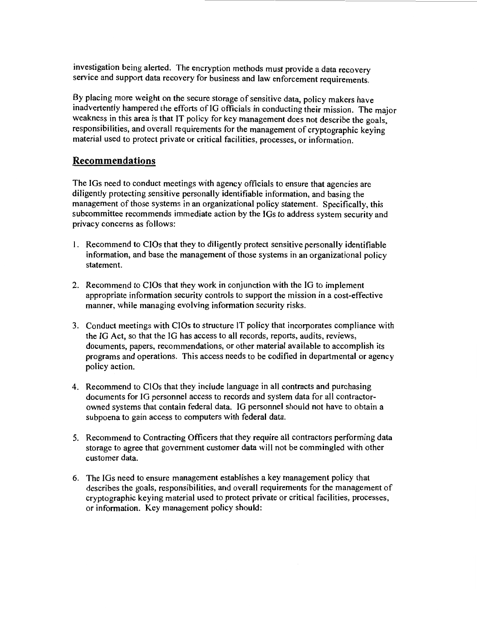investigation being alerted. The encryption methods must provide a data recovery service and support data recovery for business and law enforcement requirements.

By placing more weight on the secure storage of sensitive data, policy makers have inadvertently hampered the efforts of IO officials in conducting their mission. The major weakness in this area is that IT policy for key management does not describe the goals, responsibilities, and overall requirements for the management of cryptographic keying material used to protect private or critical facilities, processes, or information.

#### **Recommendations**

The IOs need to conduct meetings with agency officials to ensure that agencies are diligently protecting sensitive personally identifiable information, and basing the management of those systems in an organizational policy statement. Specifically, this subcommittee recommends immediate action by the IGs to address system security and privacy concerns as follows:

- l. Recommend to CIOs that they to diligently protect sensitive personally identifiable information, and base the management of those systems in an organizational policy statement.
- 2. Recommend to CIOs that they work in conjunction with the IO to implement appropriate information security controls to support the mission in a cost-effective manner, while managing evolving information security risks.
- 3. Conduct meetings with CIOs to structure IT policy that incorporates compliance with the IO Act, so that the IO has access to all records, reports, audits, reviews, documents, papers, recommendations, or other material available to accomplish its programs and operations. This access needs to be codified in departmental or agency policy action.
- 4. Recommend to CIOs that they include language in all contracts and purchasing documents for IG personnel access to records and system data for all contractorowned systems that contain federal data. IG personnel should not have to obtain a subpoena to gain access to computers with federal data.
- 5. Recommend to Contracting Officers that they require all contractors performing data storage to agree that government customer data will not be commingled with other customer data.
- 6. The IGs need to ensure management establishes a key management policy that describes the goals, responsibilities, and overall requirements for the management of cryptographic keying material used to protect private or critical facilities, processes, or information. Key management policy should: